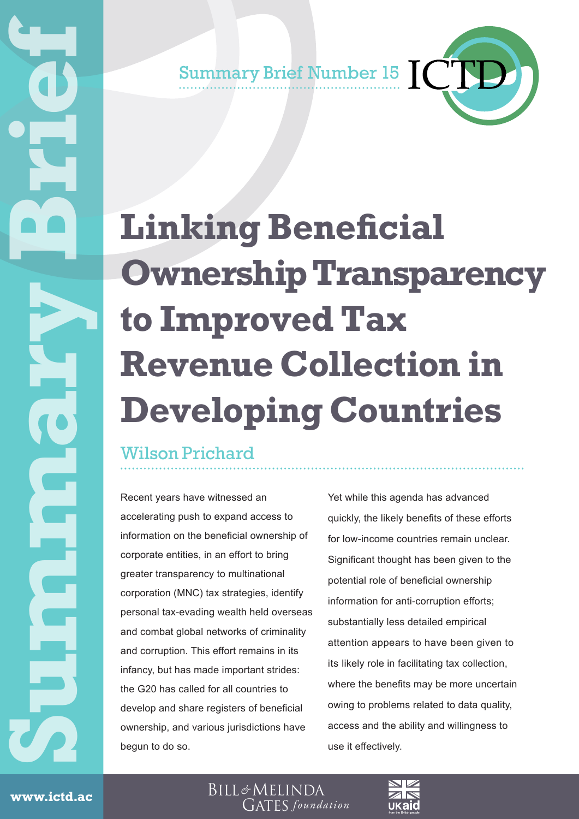Summary Brief Number 15 **CCC** 

# **Linking Beneficial Ownership Transparency to Improved Tax Revenue Collection in Developing Countries**

## Wilson Prichard

Recent years have witnessed an accelerating push to expand access to information on the beneficial ownership of corporate entities, in an effort to bring greater transparency to multinational corporation (MNC) tax strategies, identify personal tax-evading wealth held overseas and combat global networks of criminality and corruption. This effort remains in its infancy, but has made important strides: the G20 has called for all countries to develop and share registers of beneficial ownership, and various jurisdictions have begun to do so.

Yet while this agenda has advanced quickly, the likely benefits of these efforts for low-income countries remain unclear. Significant thought has been given to the potential role of beneficial ownership information for anti-corruption efforts; substantially less detailed empirical attention appears to have been given to its likely role in facilitating tax collection, where the benefits may be more uncertain owing to problems related to data quality, access and the ability and willingness to use it effectively.

Www.ictd.acc.un.com/hosterwww.ictd.ac

BILL&MELINDA **GATES** foundation

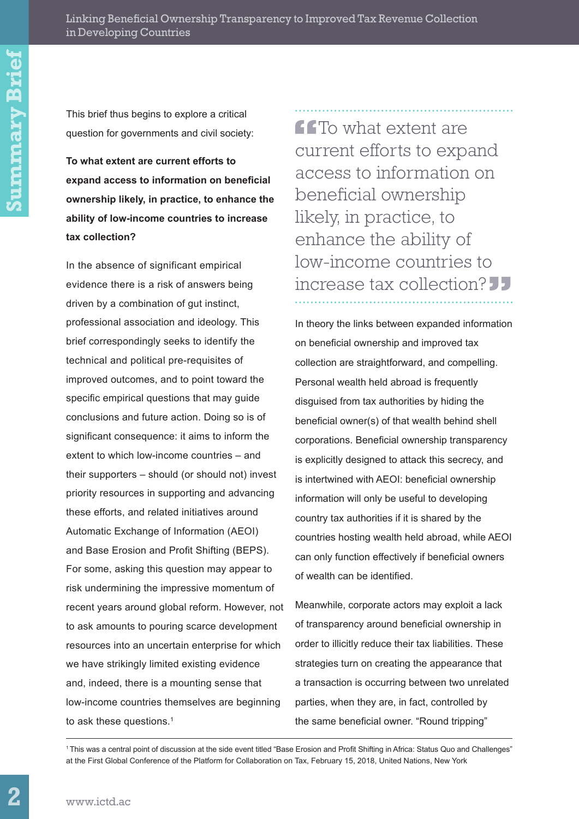This brief thus begins to explore a critical question for governments and civil society:

**To what extent are current efforts to expand access to information on beneficial ownership likely, in practice, to enhance the ability of low-income countries to increase tax collection?** 

In the absence of significant empirical evidence there is a risk of answers being driven by a combination of gut instinct, professional association and ideology. This brief correspondingly seeks to identify the technical and political pre-requisites of improved outcomes, and to point toward the specific empirical questions that may guide conclusions and future action. Doing so is of significant consequence: it aims to inform the extent to which low-income countries – and their supporters – should (or should not) invest priority resources in supporting and advancing these efforts, and related initiatives around Automatic Exchange of Information (AEOI) and Base Erosion and Profit Shifting (BEPS). For some, asking this question may appear to risk undermining the impressive momentum of recent years around global reform. However, not to ask amounts to pouring scarce development resources into an uncertain enterprise for which we have strikingly limited existing evidence and, indeed, there is a mounting sense that low-income countries themselves are beginning to ask these questions.<sup>1</sup>

**CCT**o what extent are current efforts to expand access to information on beneficial ownership likely, in practice, to enhance the ability of low-income countries to increase tax collection?

In theory the links between expanded information on beneficial ownership and improved tax collection are straightforward, and compelling. Personal wealth held abroad is frequently disguised from tax authorities by hiding the beneficial owner(s) of that wealth behind shell corporations. Beneficial ownership transparency is explicitly designed to attack this secrecy, and is intertwined with AEOI: beneficial ownership information will only be useful to developing country tax authorities if it is shared by the countries hosting wealth held abroad, while AEOI can only function effectively if beneficial owners of wealth can be identified.

Meanwhile, corporate actors may exploit a lack of transparency around beneficial ownership in order to illicitly reduce their tax liabilities. These strategies turn on creating the appearance that a transaction is occurring between two unrelated parties, when they are, in fact, controlled by the same beneficial owner. "Round tripping"

<sup>1</sup>This was a central point of discussion at the side event titled "Base Erosion and Profit Shifting in Africa: Status Quo and Challenges" at the First Global Conference of the Platform for Collaboration on Tax, February 15, 2018, United Nations, New York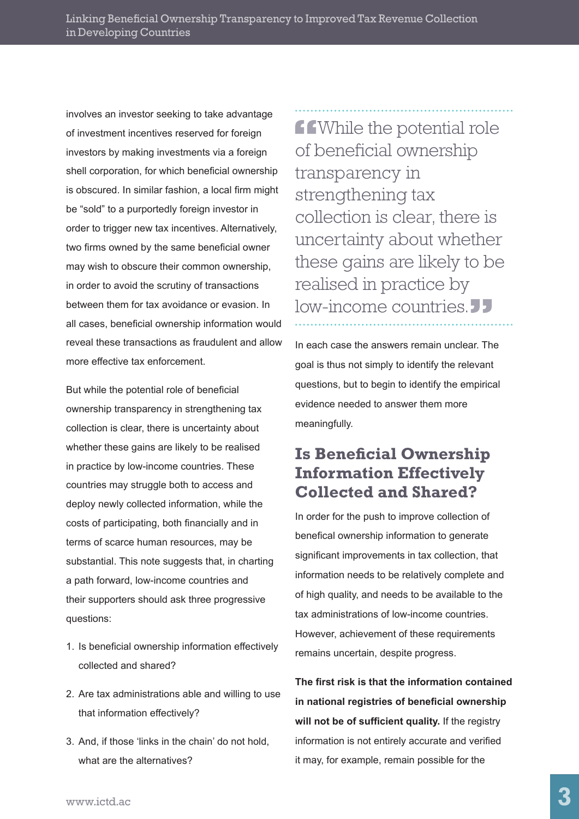involves an investor seeking to take advantage of investment incentives reserved for foreign investors by making investments via a foreign shell corporation, for which beneficial ownership is obscured. In similar fashion, a local firm might be "sold" to a purportedly foreign investor in order to trigger new tax incentives. Alternatively, two firms owned by the same beneficial owner may wish to obscure their common ownership, in order to avoid the scrutiny of transactions between them for tax avoidance or evasion. In all cases, beneficial ownership information would reveal these transactions as fraudulent and allow more effective tax enforcement.

But while the potential role of beneficial ownership transparency in strengthening tax collection is clear, there is uncertainty about whether these gains are likely to be realised in practice by low-income countries. These countries may struggle both to access and deploy newly collected information, while the costs of participating, both financially and in terms of scarce human resources, may be substantial. This note suggests that, in charting a path forward, low-income countries and their supporters should ask three progressive questions:

- 1. Is beneficial ownership information effectively collected and shared?
- 2. Are tax administrations able and willing to use that information effectively?
- 3. And, if those 'links in the chain' do not hold, what are the alternatives?

**f f**While the potential role of beneficial ownership transparency in strengthening tax collection is clear, there is uncertainty about whether these gains are likely to be realised in practice by low-income countries.<sup>JJ</sup>

In each case the answers remain unclear. The goal is thus not simply to identify the relevant questions, but to begin to identify the empirical evidence needed to answer them more meaningfully.

### **Is Beneficial Ownership Information Effectively Collected and Shared?**

In order for the push to improve collection of benefical ownership information to generate significant improvements in tax collection, that information needs to be relatively complete and of high quality, and needs to be available to the tax administrations of low-income countries. However, achievement of these requirements remains uncertain, despite progress.

**The first risk is that the information contained in national registries of beneficial ownership will not be of sufficient quality.** If the registry information is not entirely accurate and verified it may, for example, remain possible for the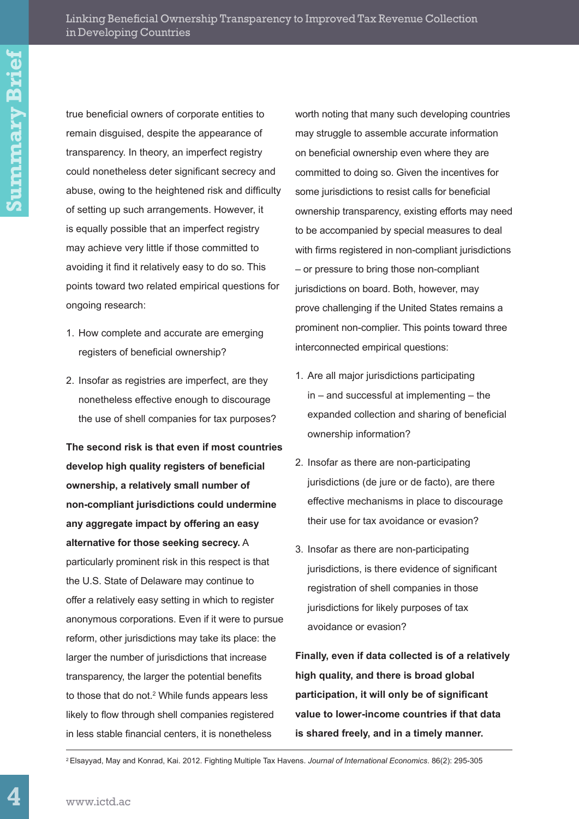true beneficial owners of corporate entities to remain disguised, despite the appearance of transparency. In theory, an imperfect registry could nonetheless deter significant secrecy and abuse, owing to the heightened risk and difficulty of setting up such arrangements. However, it is equally possible that an imperfect registry may achieve very little if those committed to avoiding it find it relatively easy to do so. This points toward two related empirical questions for ongoing research:

- 1. How complete and accurate are emerging registers of beneficial ownership?
- 2. Insofar as registries are imperfect, are they nonetheless effective enough to discourage the use of shell companies for tax purposes?

**The second risk is that even if most countries develop high quality registers of beneficial ownership, a relatively small number of non-compliant jurisdictions could undermine any aggregate impact by offering an easy alternative for those seeking secrecy.** A particularly prominent risk in this respect is that the U.S. State of Delaware may continue to offer a relatively easy setting in which to register anonymous corporations. Even if it were to pursue reform, other jurisdictions may take its place: the larger the number of jurisdictions that increase transparency, the larger the potential benefits to those that do not.<sup>2</sup> While funds appears less likely to flow through shell companies registered in less stable financial centers, it is nonetheless

worth noting that many such developing countries may struggle to assemble accurate information on beneficial ownership even where they are committed to doing so. Given the incentives for some jurisdictions to resist calls for beneficial ownership transparency, existing efforts may need to be accompanied by special measures to deal with firms registered in non-compliant jurisdictions – or pressure to bring those non-compliant jurisdictions on board. Both, however, may prove challenging if the United States remains a prominent non-complier. This points toward three interconnected empirical questions:

- 1. Are all major jurisdictions participating in – and successful at implementing – the expanded collection and sharing of beneficial ownership information?
- 2. Insofar as there are non-participating jurisdictions (de jure or de facto), are there effective mechanisms in place to discourage their use for tax avoidance or evasion?
- 3. Insofar as there are non-participating jurisdictions, is there evidence of significant registration of shell companies in those jurisdictions for likely purposes of tax avoidance or evasion?

**Finally, even if data collected is of a relatively high quality, and there is broad global participation, it will only be of significant value to lower-income countries if that data is shared freely, and in a timely manner.** 

2 Elsayyad, May and Konrad, Kai. 2012. Fighting Multiple Tax Havens. *Journal of International Economics*. 86(2): 295-305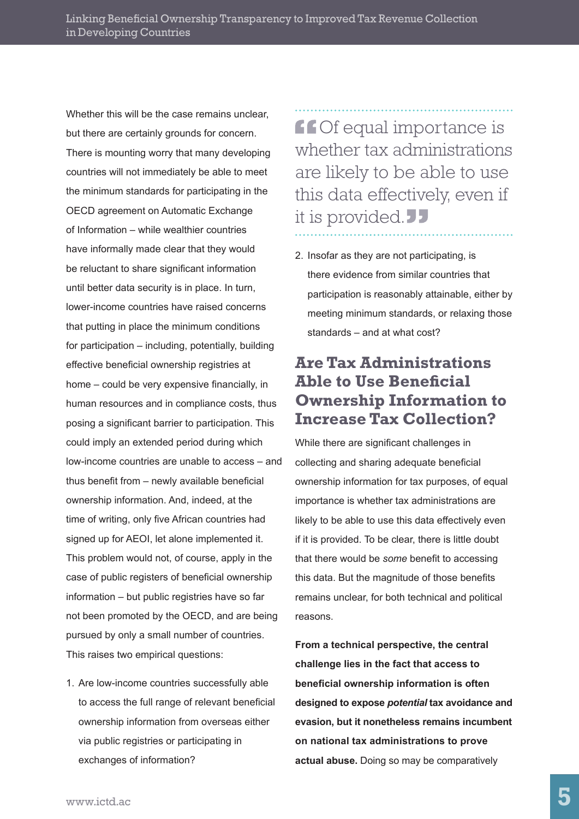Whether this will be the case remains unclear. but there are certainly grounds for concern. There is mounting worry that many developing countries will not immediately be able to meet the minimum standards for participating in the OECD agreement on Automatic Exchange of Information – while wealthier countries have informally made clear that they would be reluctant to share significant information until better data security is in place. In turn, lower-income countries have raised concerns that putting in place the minimum conditions for participation – including, potentially, building effective beneficial ownership registries at home – could be very expensive financially, in human resources and in compliance costs, thus posing a significant barrier to participation. This could imply an extended period during which low-income countries are unable to access – and thus benefit from – newly available beneficial ownership information. And, indeed, at the time of writing, only five African countries had signed up for AEOI, let alone implemented it. This problem would not, of course, apply in the case of public registers of beneficial ownership information – but public registries have so far not been promoted by the OECD, and are being pursued by only a small number of countries. This raises two empirical questions:

1. Are low-income countries successfully able to access the full range of relevant beneficial ownership information from overseas either via public registries or participating in exchanges of information?

**ff Of equal importance is** whether tax administrations are likely to be able to use this data effectively, even if it is provided.

2. Insofar as they are not participating, is there evidence from similar countries that participation is reasonably attainable, either by meeting minimum standards, or relaxing those standards – and at what cost?

#### **Are Tax Administrations Able to Use Beneficial Ownership Information to Increase Tax Collection?**

While there are significant challenges in collecting and sharing adequate beneficial ownership information for tax purposes, of equal importance is whether tax administrations are likely to be able to use this data effectively even if it is provided. To be clear, there is little doubt that there would be *some* benefit to accessing this data. But the magnitude of those benefits remains unclear, for both technical and political reasons.

**From a technical perspective, the central challenge lies in the fact that access to beneficial ownership information is often designed to expose** *potential* **tax avoidance and evasion, but it nonetheless remains incumbent on national tax administrations to prove actual abuse.** Doing so may be comparatively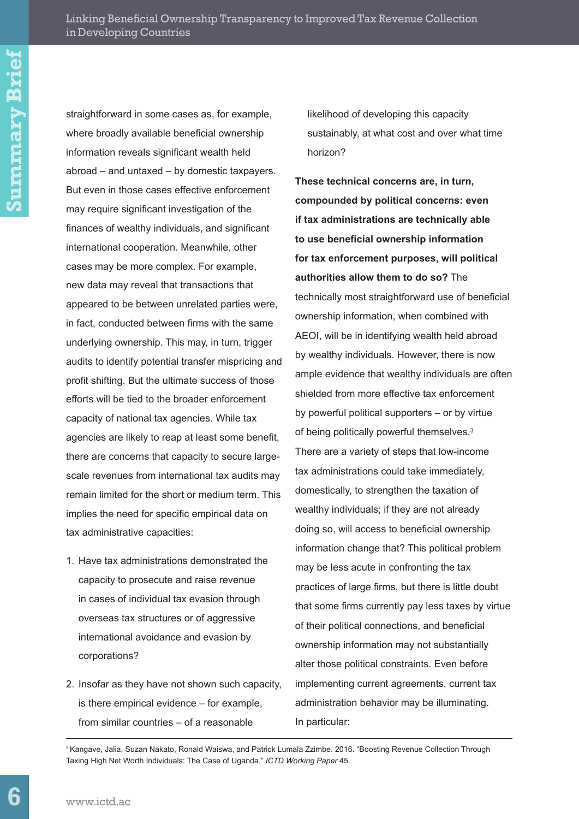straightforward in some cases as, for example, where broadly available beneficial ownership information reveals significant wealth held abroad – and untaxed – by domestic taxpayers. But even in those cases effective enforcement may require significant investigation of the finances of wealthy individuals, and significant international cooperation. Meanwhile, other cases may be more complex. For example, new data may reveal that transactions that appeared to be between unrelated parties were, in fact, conducted between firms with the same underlying ownership. This may, in turn, trigger audits to identify potential transfer mispricing and profit shifting. But the ultimate success of those efforts will be tied to the broader enforcement capacity of national tax agencies. While tax agencies are likely to reap at least some benefit, there are concerns that capacity to secure largescale revenues from international tax audits may remain limited for the short or medium term. This implies the need for specific empirical data on tax administrative capacities:

- 1. Have tax administrations demonstrated the capacity to prosecute and raise revenue in cases of individual tax evasion through overseas tax structures or of aggressive international avoidance and evasion by corporations?
- 2. Insofar as they have not shown such capacity, is there empirical evidence – for example, from similar countries – of a reasonable

likelihood of developing this capacity sustainably, at what cost and over what time horizon?

**These technical concerns are, in turn, compounded by political concerns: even if tax administrations are technically able to use beneficial ownership information for tax enforcement purposes, will political authorities allow them to do so?** The technically most straightforward use of beneficial ownership information, when combined with AEOI, will be in identifying wealth held abroad by wealthy individuals. However, there is now ample evidence that wealthy individuals are often shielded from more effective tax enforcement by powerful political supporters – or by virtue of being politically powerful themselves.<sup>3</sup> There are a variety of steps that low-income tax administrations could take immediately, domestically, to strengthen the taxation of wealthy individuals; if they are not already doing so, will access to beneficial ownership information change that? This political problem may be less acute in confronting the tax practices of large firms, but there is little doubt that some firms currently pay less taxes by virtue of their political connections, and beneficial ownership information may not substantially alter those political constraints. Even before implementing current agreements, current tax administration behavior may be illuminating. In particular:

<sup>3</sup> Kangave, Jalia, Suzan Nakato, Ronald Waiswa, and Patrick Lumala Zzimbe. 2016. "Boosting Revenue Collection Through Taxing High Net Worth Individuals: The Case of Uganda." *ICTD Working Paper* 45.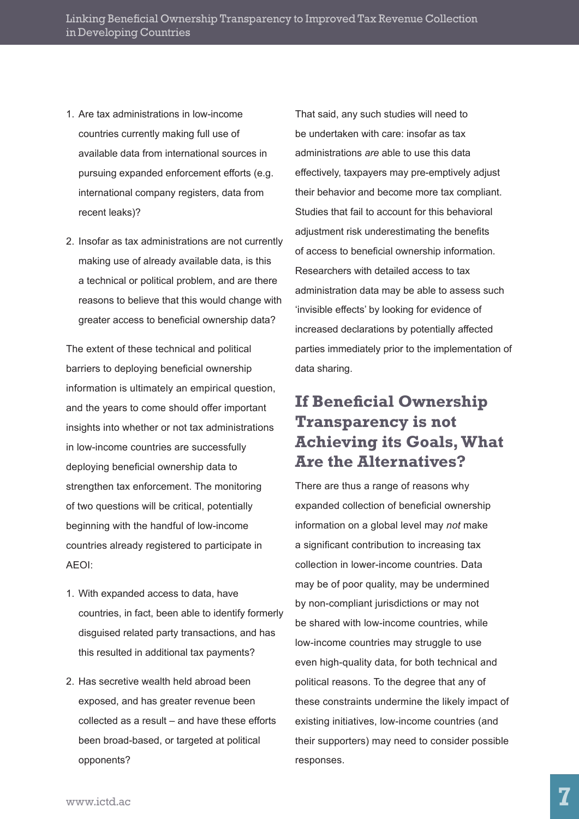- 1. Are tax administrations in low-income countries currently making full use of available data from international sources in pursuing expanded enforcement efforts (e.g. international company registers, data from recent leaks)?
- 2. Insofar as tax administrations are not currently making use of already available data, is this a technical or political problem, and are there reasons to believe that this would change with greater access to beneficial ownership data?

The extent of these technical and political barriers to deploying beneficial ownership information is ultimately an empirical question, and the years to come should offer important insights into whether or not tax administrations in low-income countries are successfully deploying beneficial ownership data to strengthen tax enforcement. The monitoring of two questions will be critical, potentially beginning with the handful of low-income countries already registered to participate in AEOI:

- 1. With expanded access to data, have countries, in fact, been able to identify formerly disguised related party transactions, and has this resulted in additional tax payments?
- 2. Has secretive wealth held abroad been exposed, and has greater revenue been collected as a result – and have these efforts been broad-based, or targeted at political opponents?

That said, any such studies will need to be undertaken with care: insofar as tax administrations *are* able to use this data effectively, taxpayers may pre-emptively adjust their behavior and become more tax compliant. Studies that fail to account for this behavioral adjustment risk underestimating the benefits of access to beneficial ownership information. Researchers with detailed access to tax administration data may be able to assess such 'invisible effects' by looking for evidence of increased declarations by potentially affected parties immediately prior to the implementation of data sharing.

## **If Beneficial Ownership Transparency is not Achieving its Goals, What Are the Alternatives?**

There are thus a range of reasons why expanded collection of beneficial ownership information on a global level may *not* make a significant contribution to increasing tax collection in lower-income countries. Data may be of poor quality, may be undermined by non-compliant jurisdictions or may not be shared with low-income countries, while low-income countries may struggle to use even high-quality data, for both technical and political reasons. To the degree that any of these constraints undermine the likely impact of existing initiatives, low-income countries (and their supporters) may need to consider possible responses.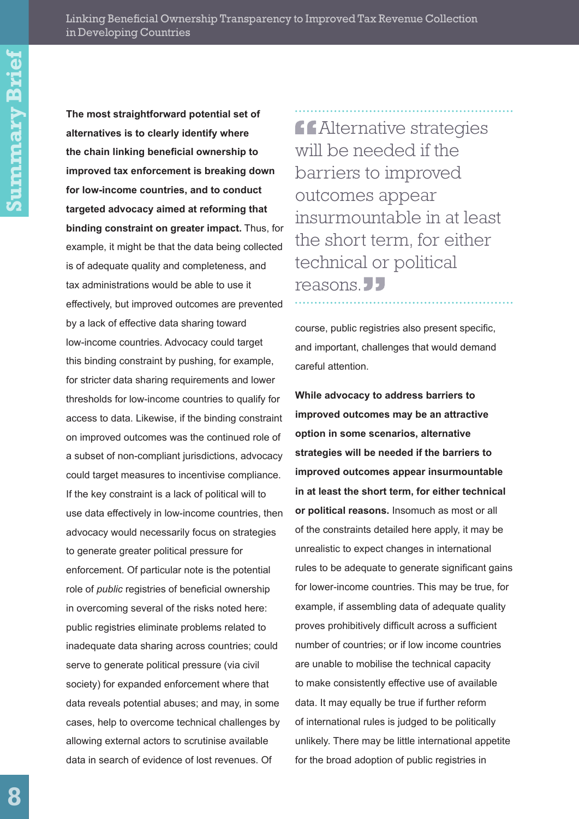**The most straightforward potential set of alternatives is to clearly identify where the chain linking beneficial ownership to improved tax enforcement is breaking down for low-income countries, and to conduct targeted advocacy aimed at reforming that binding constraint on greater impact.** Thus, for example, it might be that the data being collected is of adequate quality and completeness, and tax administrations would be able to use it effectively, but improved outcomes are prevented by a lack of effective data sharing toward low-income countries. Advocacy could target this binding constraint by pushing, for example, for stricter data sharing requirements and lower thresholds for low-income countries to qualify for access to data. Likewise, if the binding constraint on improved outcomes was the continued role of a subset of non-compliant jurisdictions, advocacy could target measures to incentivise compliance. If the key constraint is a lack of political will to use data effectively in low-income countries, then advocacy would necessarily focus on strategies to generate greater political pressure for enforcement. Of particular note is the potential role of *public* registries of beneficial ownership in overcoming several of the risks noted here: public registries eliminate problems related to inadequate data sharing across countries; could serve to generate political pressure (via civil society) for expanded enforcement where that data reveals potential abuses; and may, in some cases, help to overcome technical challenges by allowing external actors to scrutinise available data in search of evidence of lost revenues. Of

**Alternative strategies** will be needed if the barriers to improved outcomes appear insurmountable in at least the short term, for either technical or political reasons.<sup>11</sup>

course, public registries also present specific, and important, challenges that would demand careful attention.

**While advocacy to address barriers to improved outcomes may be an attractive option in some scenarios, alternative strategies will be needed if the barriers to improved outcomes appear insurmountable in at least the short term, for either technical or political reasons.** Insomuch as most or all of the constraints detailed here apply, it may be unrealistic to expect changes in international rules to be adequate to generate significant gains for lower-income countries. This may be true, for example, if assembling data of adequate quality proves prohibitively difficult across a sufficient number of countries; or if low income countries are unable to mobilise the technical capacity to make consistently effective use of available data. It may equally be true if further reform of international rules is judged to be politically unlikely. There may be little international appetite for the broad adoption of public registries in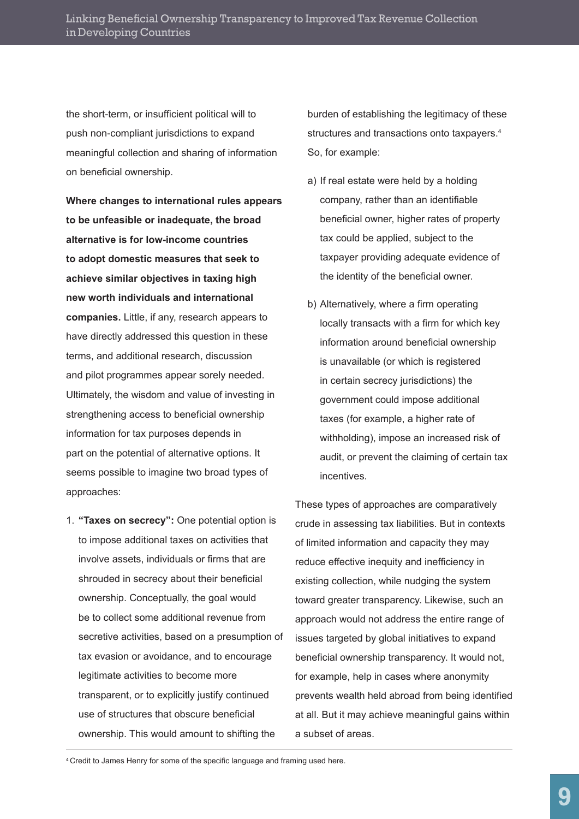the short-term, or insufficient political will to push non-compliant jurisdictions to expand meaningful collection and sharing of information on beneficial ownership.

**Where changes to international rules appears to be unfeasible or inadequate, the broad alternative is for low-income countries to adopt domestic measures that seek to achieve similar objectives in taxing high new worth individuals and international companies.** Little, if any, research appears to have directly addressed this question in these terms, and additional research, discussion and pilot programmes appear sorely needed. Ultimately, the wisdom and value of investing in strengthening access to beneficial ownership information for tax purposes depends in part on the potential of alternative options. It seems possible to imagine two broad types of approaches:

1. **"Taxes on secrecy":** One potential option is to impose additional taxes on activities that involve assets, individuals or firms that are shrouded in secrecy about their beneficial ownership. Conceptually, the goal would be to collect some additional revenue from secretive activities, based on a presumption of tax evasion or avoidance, and to encourage legitimate activities to become more transparent, or to explicitly justify continued use of structures that obscure beneficial ownership. This would amount to shifting the

burden of establishing the legitimacy of these structures and transactions onto taxpayers.4 So, for example:

- a) If real estate were held by a holding company, rather than an identifiable beneficial owner, higher rates of property tax could be applied, subject to the taxpayer providing adequate evidence of the identity of the beneficial owner.
- b) Alternatively, where a firm operating locally transacts with a firm for which key information around beneficial ownership is unavailable (or which is registered in certain secrecy jurisdictions) the government could impose additional taxes (for example, a higher rate of withholding), impose an increased risk of audit, or prevent the claiming of certain tax incentives.

These types of approaches are comparatively crude in assessing tax liabilities. But in contexts of limited information and capacity they may reduce effective inequity and inefficiency in existing collection, while nudging the system toward greater transparency. Likewise, such an approach would not address the entire range of issues targeted by global initiatives to expand beneficial ownership transparency. It would not, for example, help in cases where anonymity prevents wealth held abroad from being identified at all. But it may achieve meaningful gains within a subset of areas.

<sup>4</sup> Credit to James Henry for some of the specific language and framing used here.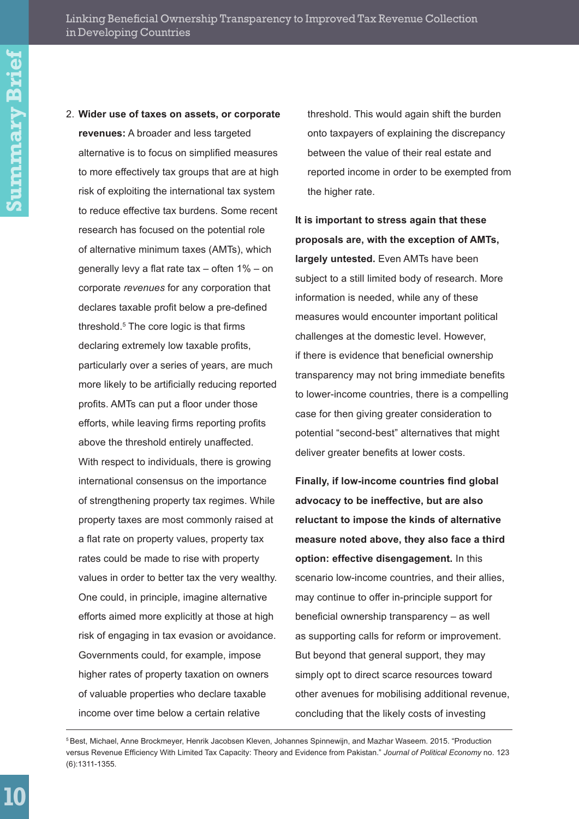2. **Wider use of taxes on assets, or corporate revenues:** A broader and less targeted alternative is to focus on simplified measures to more effectively tax groups that are at high risk of exploiting the international tax system to reduce effective tax burdens. Some recent research has focused on the potential role of alternative minimum taxes (AMTs), which generally levy a flat rate tax – often 1% – on corporate *revenues* for any corporation that declares taxable profit below a pre-defined threshold.5 The core logic is that firms declaring extremely low taxable profits, particularly over a series of years, are much more likely to be artificially reducing reported profits. AMTs can put a floor under those efforts, while leaving firms reporting profits above the threshold entirely unaffected. With respect to individuals, there is growing international consensus on the importance of strengthening property tax regimes. While property taxes are most commonly raised at a flat rate on property values, property tax rates could be made to rise with property values in order to better tax the very wealthy. One could, in principle, imagine alternative efforts aimed more explicitly at those at high risk of engaging in tax evasion or avoidance. Governments could, for example, impose higher rates of property taxation on owners of valuable properties who declare taxable income over time below a certain relative

threshold. This would again shift the burden onto taxpayers of explaining the discrepancy between the value of their real estate and reported income in order to be exempted from the higher rate.

**It is important to stress again that these proposals are, with the exception of AMTs, largely untested.** Even AMTs have been subject to a still limited body of research. More information is needed, while any of these measures would encounter important political challenges at the domestic level. However, if there is evidence that beneficial ownership transparency may not bring immediate benefits to lower-income countries, there is a compelling case for then giving greater consideration to potential "second-best" alternatives that might deliver greater benefits at lower costs.

**Finally, if low-income countries find global advocacy to be ineffective, but are also reluctant to impose the kinds of alternative measure noted above, they also face a third option: effective disengagement.** In this scenario low-income countries, and their allies, may continue to offer in-principle support for beneficial ownership transparency – as well as supporting calls for reform or improvement. But beyond that general support, they may simply opt to direct scarce resources toward other avenues for mobilising additional revenue, concluding that the likely costs of investing

<sup>&</sup>lt;sup>5</sup> Best, Michael, Anne Brockmeyer, Henrik Jacobsen Kleven, Johannes Spinnewijn, and Mazhar Waseem. 2015. "Production versus Revenue Efficiency With Limited Tax Capacity: Theory and Evidence from Pakistan." *Journal of Political Economy* no. 123 (6):1311-1355.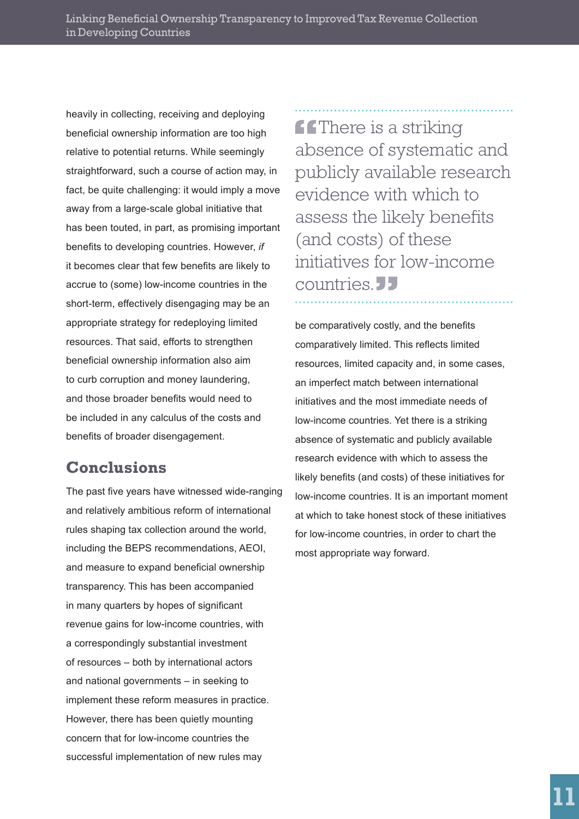heavily in collecting, receiving and deploying beneficial ownership information are too high relative to potential returns. While seemingly straightforward, such a course of action may, in fact, be quite challenging: it would imply a move away from a large-scale global initiative that has been touted, in part, as promising important benefits to developing countries. However, *if* it becomes clear that few benefits are likely to accrue to (some) low-income countries in the short-term, effectively disengaging may be an appropriate strategy for redeploying limited resources. That said, efforts to strengthen beneficial ownership information also aim to curb corruption and money laundering, and those broader benefits would need to be included in any calculus of the costs and benefits of broader disengagement.

#### **Conclusions**

The past five years have witnessed wide-ranging and relatively ambitious reform of international rules shaping tax collection around the world, including the BEPS recommendations, AEOI, and measure to expand beneficial ownership transparency. This has been accompanied in many quarters by hopes of significant revenue gains for low-income countries, with a correspondingly substantial investment of resources – both by international actors and national governments – in seeking to implement these reform measures in practice. However, there has been quietly mounting concern that for low-income countries the successful implementation of new rules may

**ff** There is a striking absence of systematic and publicly available research evidence with which to assess the likely benefits (and costs) of these initiatives for low-income countries.<sup>11</sup>

be comparatively costly, and the benefits comparatively limited. This reflects limited resources, limited capacity and, in some cases, an imperfect match between international initiatives and the most immediate needs of low-income countries. Yet there is a striking absence of systematic and publicly available research evidence with which to assess the likely benefits (and costs) of these initiatives for low-income countries. It is an important moment at which to take honest stock of these initiatives for low-income countries, in order to chart the most appropriate way forward.